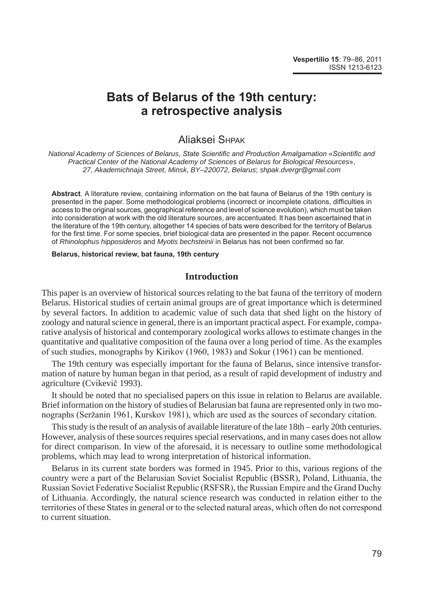# **Bats of Belarus of the 19th century: a retrospective analysis**

## Aliaksei Shpak

*National Academy of Sciences of Belarus*, *State Scientific and Production Amalgamation* «*Scientific and Practical Center of the National Academy of Sciences of Belarus for Biological Resources*», *27*, *Akademichnaja Street*, *Minsk*, *BY*–*220072*, *Belarus*; *shpak*.*dvergr@gmail*.*com*

**Abstract**. A literature review, containing information on the bat fauna of Belarus of the 19th century is presented in the paper. Some methodological problems (incorrect or incomplete citations, difficulties in access to the original sources, geographical reference and level of science evolution), which must be taken into consideration at work with the old literature sources, are accentuated. It has been ascertained that in the literature of the 19th century, altogether 14 species of bats were described for the territory of Belarus for the first time. For some species, brief biological data are presented in the paper. Recent occurrence of *Rhinolophus hipposideros* and *Myotis bechsteinii* in Belarus has not been confirmed so far.

#### **Belarus, historical review, bat fauna, 19th century**

### **Introduction**

This paper is an overview of historical sources relating to the bat fauna of the territory of modern Belarus. Historical studies of certain animal groups are of great importance which is determined by several factors. In addition to academic value of such data that shed light on the history of zoology and natural science in general, there is an important practical aspect. For example, comparative analysis of historical and contemporary zoological works allows to estimate changes in the quantitative and qualitative composition of the fauna over a long period of time. As the examples of such studies, monographs by Kirikov (1960, 1983) and Sokur (1961) can be mentioned.

The 19th century was especially important for the fauna of Belarus, since intensive transformation of nature by human began in that period, as a result of rapid development of industry and agriculture (Cvіkevіč 1993).

It should be noted that no specialised papers on this issue in relation to Belarus are available. Brief information on the history of studies of Belarusian bat fauna are represented only in two monographs (Seržanin 1961, Kurskov 1981), which are used as the sources of secondary citation.

This study is the result of an analysis of available literature of the late 18th – early 20th centuries. However, analysis of these sources requires special reservations, and in many cases does not allow for direct comparison. In view of the aforesaid, it is necessary to outline some methodological problems, which may lead to wrong interpretation of historical information.

Belarus in its current state borders was formed in 1945. Prior to this, various regions of the country were a part of the Belarusian Soviet Socialist Republic (BSSR), Poland, Lithuania, the Russian Soviet Federative Socialist Republic (RSFSR), the Russian Empire and the Grand Duchy of Lithuania. Accordingly, the natural science research was conducted in relation either to the territories of these States in general or to the selected natural areas, which often do not correspond to current situation.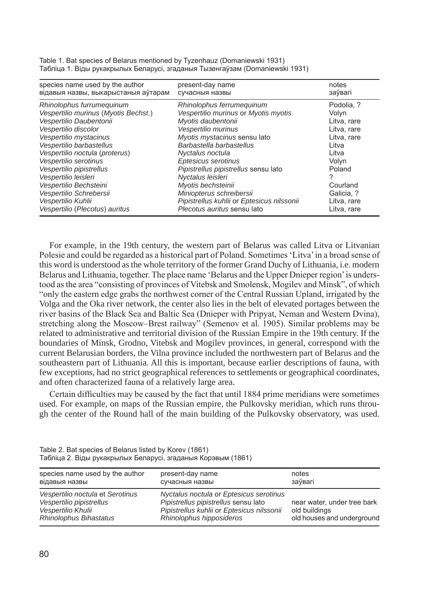| species name used by the author<br>відавыя назвы, выкарыстаныя аўтарам                                                                                                                                                                                                                                                                                               | present-day name<br>сучасныя назвы                                                                                                                                                                                                                                                                                                                                                 | notes<br>заўвагі                                                                                                                               |
|----------------------------------------------------------------------------------------------------------------------------------------------------------------------------------------------------------------------------------------------------------------------------------------------------------------------------------------------------------------------|------------------------------------------------------------------------------------------------------------------------------------------------------------------------------------------------------------------------------------------------------------------------------------------------------------------------------------------------------------------------------------|------------------------------------------------------------------------------------------------------------------------------------------------|
| Rhinolophus furrumequinum<br>Vespertilio murinus (Myotis Bechst.)<br>Vespertilio Daubentonii<br>Vespertilio discolor<br>Vespertilio mystacinus<br>Vespertilio barbastellus<br>Vespertilio noctula (proterus)<br>Vespertilio serotinus<br>Vespertilio pipistrellus<br>Vespertilio leisleri<br>Vespertilio Bechsteini<br>Vespertilio Schrebersii<br>Vespertilio Kuhlii | Rhinolophus ferrumequinum<br>Vespertilio murinus or Myotis myotis<br>Myotis daubentonii<br>Vespertilio murinus<br>Myotis mystacinus sensu lato<br>Barbastella barbastellus<br>Nyctalus noctula<br>Eptesicus serotinus<br>Pipistrellus pipistrellus sensu lato<br>Nyctalus leisleri<br>Myotis bechsteinii<br>Miniopterus schreibersii<br>Pipistrellus kuhlii or Eptesicus nilssonii | Podolia, ?<br>Volyn<br>Litva, rare<br>Litva, rare<br>Litva, rare<br>Litva<br>Litva<br>Volyn<br>Poland<br>Courland<br>Galicia, ?<br>Litva, rare |
| Vespertilio (Plecotus) auritus                                                                                                                                                                                                                                                                                                                                       | Plecotus auritus sensu lato                                                                                                                                                                                                                                                                                                                                                        | Litva, rare                                                                                                                                    |

Table 1. Bat species of Belarus mentioned by Tyzenhauz (Domaniewski 1931) Табліца 1. Віды рукакрылых Беларусі, згаданыя Тызенгаўзам (Domaniewski 1931)

For example, in the 19th century, the western part of Belarus was called Litva or Litvanian Polesie and could be regarded as a historical part of Poland. Sometimes 'Litva' in a broad sense of this word is understood as the whole territory of the former Grand Duchy of Lithuania, i.e. modern Belarus and Lithuania, together. The place name 'Belarus and the Upper Dnieper region' is understood as the area "consisting of provinces of Vitebsk and Smolensk, Mogilev and Minsk", of which "only the eastern edge grabs the northwest corner of the Central Russian Upland, irrigated by the Volga and the Oka river network, the center also lies in the belt of elevated portages between the river basins of the Black Sea and Baltic Sea (Dnieper with Pripyat, Neman and Western Dvina), stretching along the Moscow–Brest railway" (Semenov et al. 1905). Similar problems may be related to administrative and territorial division of the Russian Empire in the 19th century. If the boundaries of Minsk, Grodno, Vitebsk and Mogilev provinces, in general, correspond with the current Belarusian borders, the Vilna province included the northwestern part of Belarus and the southeastern part of Lithuania. All this is important, because earlier descriptions of fauna, with few exceptions, had no strict geographical references to settlements or geographical coordinates, and often characterized fauna of a relatively large area.

Certain difficulties may be caused by the fact that until 1884 prime meridians were sometimes used. For example, on maps of the Russian empire, the Pulkovsky meridian, which runs through the center of the Round hall of the main building of the Pulkovsky observatory, was used.

| species name used by the author                                                                              | present-day name                                                                                                                                          | notes                                                                      |
|--------------------------------------------------------------------------------------------------------------|-----------------------------------------------------------------------------------------------------------------------------------------------------------|----------------------------------------------------------------------------|
| відавыя назвы                                                                                                | сучасныя назвы                                                                                                                                            | заўвагі                                                                    |
| Vespertilio noctula et Serotinus<br>Vespertilio pipistrellus<br>Vespertilio Khulii<br>Rhinolophus Bihastatus | Nyctalus noctula or Eptesicus serotinus<br>Pipistrellus pipistrellus sensu lato<br>Pipistrellus kuhlii or Eptesicus nilssonii<br>Rhinolophus hipposideros | near water, under tree bark<br>old buildings<br>old houses and underground |

Table 2. Bat species of Belarus listed by Korev (1861) Табліца 2. Віды рукакрылых Беларусі, згаданыя Корэвым (1861)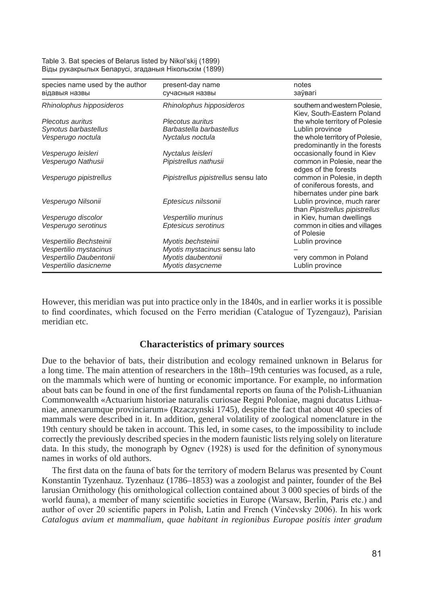Table 3. Bat species of Belarus listed by Nikol'skij (1899) Віды рукакрылых Беларусі, згаданыя Нікольскім (1899)

| species name used by the author | present-day name                     | notes                                                                                   |
|---------------------------------|--------------------------------------|-----------------------------------------------------------------------------------------|
| відавыя назвы                   | сучасныя назвы                       | заўвагі                                                                                 |
| Rhinolophus hipposideros        | Rhinolophus hipposideros             | southern and western Polesie,<br>Kiev, South-Eastern Poland                             |
| Plecotus auritus                | Plecotus auritus                     | the whole territory of Polesie                                                          |
| Synotus barbastellus            | Barbastella barbastellus             | Lublin province                                                                         |
| Vesperugo noctula               | Nyctalus noctula                     | the whole territory of Polesie,<br>predominantly in the forests                         |
| Vesperugo leisleri              | Nyctalus leisleri                    | occasionally found in Kiev                                                              |
| Vesperugo Nathusii              | Pipistrellus nathusii                | common in Polesie, near the<br>edges of the forests                                     |
| Vesperugo pipistrellus          | Pipistrellus pipistrellus sensu lato | common in Polesie, in depth<br>of coniferous forests, and<br>hibernates under pine bark |
| Vesperugo Nilsonii              | Eptesicus nilssonii                  | Lublin province, much rarer<br>than Pipistrellus pipistrellus                           |
| Vesperugo discolor              | Vespertilio murinus                  | in Kiev, human dwellings                                                                |
| Vesperugo serotinus             | Eptesicus serotinus                  | common in cities and villages<br>of Polesie                                             |
| Vespertilio Bechsteinii         | Myotis bechsteinii                   | Lublin province                                                                         |
| Vespertilio mystacinus          | Myotis mystacinus sensu lato         |                                                                                         |
| Vespertilio Daubentonii         | Myotis daubentonii                   | very common in Poland                                                                   |
| Vespertilio dasicneme           | Myotis dasycneme                     | Lublin province                                                                         |

However, this meridian was put into practice only in the 1840s, and in earlier works it is possible to find coordinates, which focused on the Ferro meridian (Catalogue of Tyzengauz), Parisian meridian etc.

#### **Characteristics of primary sources**

Due to the behavior of bats, their distribution and ecology remained unknown in Belarus for a long time. The main attention of researchers in the 18th–19th centuries was focused, as a rule, on the mammals which were of hunting or economic importance. For example, no information about bats can be found in one of the first fundamental reports on fauna of the Polish-Lithuanian Commonwealth «Actuarium historiae naturalis curiosae Regni Poloniae, magni ducatus Lithuaniae, annexarumque provinciarum» (Rzaczynski 1745), despite the fact that about 40 species of mammals were described in it. In addition, general volatility of zoological nomenclature in the 19th century should be taken in account. This led, in some cases, to the impossibility to include correctly the previously described species in the modern faunistic lists relying solely on literature data. In this study, the monograph by Ognev (1928) is used for the definition of synonymous names in works of old authors.

The first data on the fauna of bats for the territory of modern Belarus was presented by Count Konstantin Tyzenhauz. Tyzenhauz (1786–1853) was a zoologist and painter, founder of the Bellarusian Ornithology (his ornithological collection contained about 3 000 species of birds of the world fauna), a member of many scientific societies in Europe (Warsaw, Berlin, Paris etc.) and author of over 20 scientific papers in Polish, Latin and French (Vinčevsky 2006). In his work *Catalogus avium et mammalium*, *quae habitant in regionibus Europae positis inter gradum*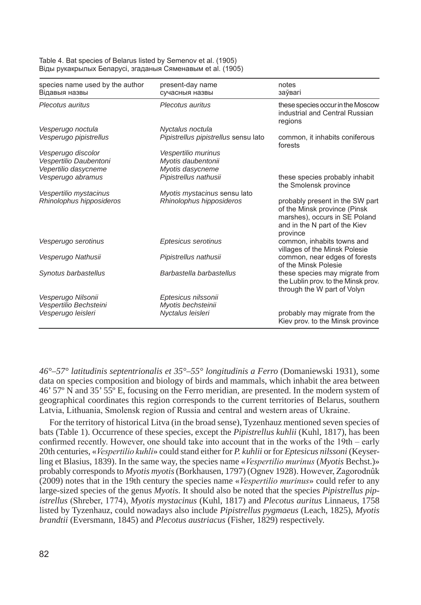Table 4. Bat species of Belarus listed by Semenov et al. (1905) Віды рукакрылых Беларусі, згаданыя Сяменавым et al. (1905)

| species name used by the author<br>Відавыя назвы | present-day name<br>сучасныя назвы   | notes<br>заўвагі                                                                                                                              |
|--------------------------------------------------|--------------------------------------|-----------------------------------------------------------------------------------------------------------------------------------------------|
| Plecotus auritus                                 | Plecotus auritus                     | these species occur in the Moscow<br>industrial and Central Russian                                                                           |
|                                                  |                                      | regions                                                                                                                                       |
| Vesperugo noctula                                | Nyctalus noctula                     |                                                                                                                                               |
| Vesperugo pipistrellus                           | Pipistrellus pipistrellus sensu lato | common, it inhabits coniferous<br>forests                                                                                                     |
| Vesperugo discolor                               | Vespertilio murinus                  |                                                                                                                                               |
| Vespertilio Daubentoni                           | Myotis daubentonii                   |                                                                                                                                               |
| Vepertilio dasycneme                             | Myotis dasycneme                     |                                                                                                                                               |
| Vesperugo abramus                                | Pipistrellus nathusii                | these species probably inhabit<br>the Smolensk province                                                                                       |
| Vespertilio mystacinus                           | Myotis mystacinus sensu lato         |                                                                                                                                               |
| Rhinolophus hipposideros                         | Rhinolophus hipposideros             | probably present in the SW part<br>of the Minsk province (Pinsk<br>marshes), occurs in SE Poland<br>and in the N part of the Kiev<br>province |
| Vesperugo serotinus                              | Eptesicus serotinus                  | common, inhabits towns and<br>villages of the Minsk Polesie                                                                                   |
| Vesperugo Nathusii                               | Pipistrellus nathusii                | common, near edges of forests<br>of the Minsk Polesie                                                                                         |
| Synotus barbastellus                             | Barbastella barbastellus             | these species may migrate from<br>the Lublin prov. to the Minsk prov.<br>through the W part of Volyn                                          |
| Vesperugo Nilsonii                               | Eptesicus nilssonii                  |                                                                                                                                               |
| Vespertilio Bechsteini                           | Myotis bechsteinii                   |                                                                                                                                               |
| Vesperugo leisleri                               | Nyctalus leisleri                    | probably may migrate from the<br>Kiev prov. to the Minsk province                                                                             |

*46°*–*57° latitudinis septentrionalis et 35°*–*55° longitudinis a Ferro* (Domaniewski 1931), some data on species composition and biology of birds and mammals, which inhabit the area between 46' 57º N and 35' 55º E, focusing on the Ferro meridian, are presented. In the modern system of geographical coordinates this region corresponds to the current territories of Belarus, southern Latvia, Lithuania, Smolensk region of Russia and central and western areas of Ukraine.

For the territory of historical Litva (in the broad sense), Tyzenhauz mentioned seven species of bats (Table 1). Occurrence of these species, except the *Pipistrellus kuhlii* (Kuhl, 1817), has been confirmed recently. However, one should take into account that in the works of the 19th – early 20th centuries, «*Vespertilio kuhli*» could stand either for *P. kuhlii* or for *Eptesicus nilssoni* (Keyserling et Blasius, 1839). In the same way, the species name «*Vespertilio murinus* (*Myotis* Bechst.)» probably corresponds to *Myotis myotis* (Borkhausen, 1797) (Ognev 1928). However, Zagorodnûk (2009) notes that in the 19th century the species name «*Vespertilio murinus*» could refer to any large-sized species of the genus *Myotis*. It should also be noted that the species *Pipistrellus pipistrellus* (Shreber, 1774), *Myotis mystacinus* (Kuhl, 1817) and *Plecotus auritus* Linnaeus, 1758 listed by Tyzenhauz, could nowadays also include *Pipistrellus pygmaeus* (Leach, 1825), *Myotis brandtii* (Eversmann, 1845) and *Plecotus austriacus* (Fisher, 1829) respectively.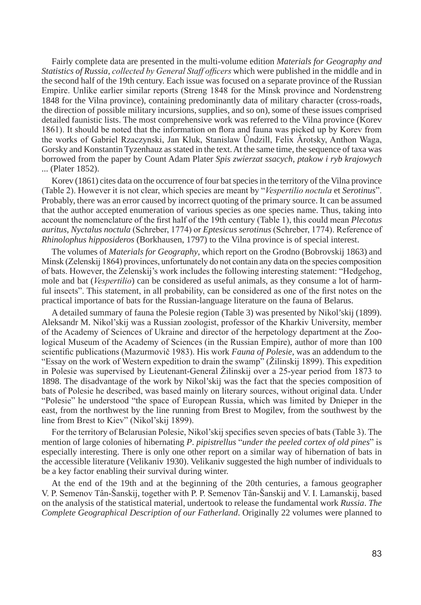Fairly complete data are presented in the multi-volume edition *Materials for Geography and Statistics of Russia*, *collected by General Staff officers* which were published in the middle and in the second half of the 19th century. Each issue was focused on a separate province of the Russian Empire. Unlike earlier similar reports (Streng 1848 for the Minsk province and Nordenstreng 1848 for the Vilna province), containing predominantly data of military character (cross-roads, the direction of possible military incursions, supplies, and so on), some of these issues comprised detailed faunistic lists. The most comprehensive work was referred to the Vilna province (Korev 1861). It should be noted that the information on flora and fauna was picked up by Korev from the works of Gabriel Rzaczynski, Jan Kluk, Stanislaw Ûndzill, Felix Ârotsky, Anthon Waga, Gorsky and Konstantin Tyzenhauz as stated in the text. At the same time, the sequence of taxa was borrowed from the paper by Count Adam Plater *Spis zwierzat ssacych*, *ptakow i ryb krajowych*  ... (Plater 1852).

Korev (1861) cites data on the occurrence of four bat species in the territory of the Vilna province (Table 2). However it is not clear, which species are meant by "*Vespertilio noctula* et *Serotinus*". Probably, there was an error caused by incorrect quoting of the primary source. It can be assumed that the author accepted enumeration of various species as one species name. Thus, taking into account the nomenclature of the first half of the 19th century (Table 1), this could mean *Plecotus auritus*, *Nyctalus noctula* (Schreber, 1774) or *Eptesicus serotinus* (Schreber, 1774). Reference of *Rhinolophus hipposideros* (Borkhausen, 1797) to the Vilna province is of special interest.

The volumes of *Materials for Geography*, which report on the Grodno (Bobrovskij 1863) and Minsk (Zelenskij 1864) provinces, unfortunately do not contain any data on the species composition of bats. However, the Zelenskij's work includes the following interesting statement: "Hedgehog, mole and bat (*Vespertilio*) can be considered as useful animals, as they consume a lot of harmful insects". This statement, in all probability, can be considered as one of the first notes on the practical importance of bats for the Russian-language literature on the fauna of Belarus.

A detailed summary of fauna the Polesie region (Table 3) was presented by Nikol'skij (1899). Aleksandr M. Nikol'skij was a Russian zoologist, professor of the Kharkiv University, member of the Academy of Sciences of Ukraine and director of the herpetology department at the Zoological Museum of the Academy of Sciences (in the Russian Empire), author of more than 100 scientific publications (Mazurmovič 1983). His work *Fauna of Polesie*, was an addendum to the "Essay on the work of Western expedition to drain the swamp" (Žilinskij 1899). This expedition in Polesie was supervised by Lieutenant-General Žilinskij over a 25-year period from 1873 to 1898. The disadvantage of the work by Nikol'skij was the fact that the species composition of bats of Polesie he described, was based mainly on literary sources, without original data. Under "Polesie" he understood "the space of European Russia, which was limited by Dnieper in the east, from the northwest by the line running from Brest to Mogilev, from the southwest by the line from Brest to Kiev" (Nikol'skij 1899).

For the territory of Belarusian Polesie, Nikol'skij specifies seven species of bats (Table 3). The mention of large colonies of hibernating *P*. *pipistrellus* "*under the peeled cortex of old pines*" is especially interesting. There is only one other report on a similar way of hibernation of bats in the accessible literature (Velikaniv 1930). Velikaniv suggested the high number of individuals to be a key factor enabling their survival during winter.

At the end of the 19th and at the beginning of the 20th centuries, a famous geographer V. P. Semenov Tân-Šanskij, together with P. P. Semenov Tân-Šanskij and V. I. Lamanskij, based on the analysis of the statistical material, undertook to release the fundamental work *Russia*. *The Complete Geographical Description of our Fatherland*. Originally 22 volumes were planned to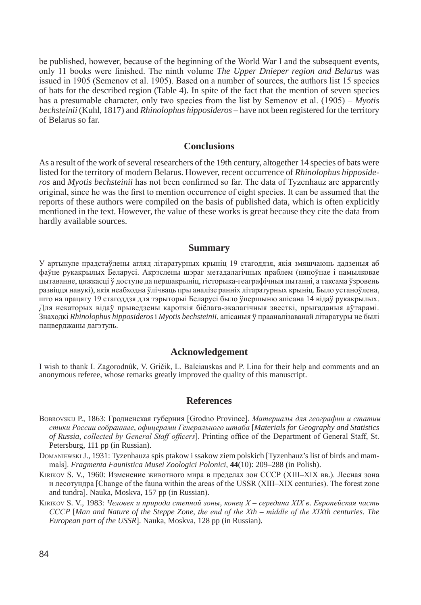be published, however, because of the beginning of the World War I and the subsequent events, only 11 books were finished. The ninth volume *The Upper Dnieper region and Belarus* was issued in 1905 (Semenov et al. 1905). Based on a number of sources, the authors list 15 species of bats for the described region (Table 4). In spite of the fact that the mention of seven species has a presumable character, only two species from the list by Semenov et al. (1905) – *Myotis bechsteinii* (Kuhl, 1817) and *Rhinolophus hipposideros* – have not been registered for the territory of Belarus so far.

#### **Conclusions**

As a result of the work of several researchers of the 19th century, altogether 14 species of bats were listed for the territory of modern Belarus. However, recent occurrence of *Rhinolophus hipposideros* and *Myotis bechsteinii* has not been confirmed so far. The data of Tyzenhauz are apparently original, since he was the first to mention occurrence of eight species. It can be assumed that the reports of these authors were compiled on the basis of published data, which is often explicitly mentioned in the text. However, the value of these works is great because they cite the data from hardly available sources.

#### **Summary**

У артыкуле прадстаўлены агляд літаратурных крыніц 19 стагоддзя, якія змяшчаюць дадзеныя аб фаўне рукакрылых Беларусі. Акрэслены шэраг метадалагічных праблем (няпоўнае і памылковае цытаванне, цяжкасці ў доступе да першакрыніц, гісторыка-геаграфічныя пытанні, а таксама ўзровень развіцця навукі), якія неабходна ўлічваць пры аналізе ранніх літаратурных крыніц. Было устаноўлена, што на працягу 19 стагоддзя для тэрыторыі Беларусі было ўпершыню апісана 14 відаў рукакрылых. Для некаторых відаў прыведзены кароткія біёлага-экалагічныя звесткі, прыгаданыя аўтарамі. Знаходкі *Rhinolophus hipposideros* i *Myotis bechsteinii*, апісаныя ў прааналізаванай літаратуры не былі пацверджаны дагэтуль.

#### **Acknowledgement**

I wish to thank I. Zagorodnûk, V. Gričik, L. Balciauskas and P. Lina for their help and comments and an anonymous referee, whose remarks greatly improved the quality of this manuscript.

### **References**

- bobRovsKiJ P., 1863: Гродненская губерния [Grodno Province]. *Материалы для географии и статиистики России собранные*, *офицерами Генерального штаба* [*Materials for Geography and Statistics of Russia*, *collected by General Staff officers*]. Printing office of the Department of General Staff, St. Petersburg, 111 pp (in Russian).
- DOMANIEWSKI J., 1931: Tyzenhauza spis ptakow i ssakow ziem polskich [Tyzenhauz's list of birds and mammals]. *Fragmenta Faunistica Musei Zoologici Polonici*, **44**(10): 209–288 (in Polish).
- KiRiKov S. V., 1960: Изменение животного мира в пределах зон СССР (XIII–XIX вв.). Лесная зона и лесотундра [Change of the fauna within the areas of the USSR (XIII–XIX centuries). The forest zone and tundra]. Nauka, Moskva, 157 pp (in Russian).
- KiRiKov S. V., 1983: *Человек и природа степной зоны*, *конец X середина XIX в*. *Европейская часть СССР* [*Man and Nature of the Steppe Zone*, *the end of the Xth* – *middle of the XIXth centuries*. *The European part of the USSR*]. Nauka, Moskva, 128 pp (in Russian).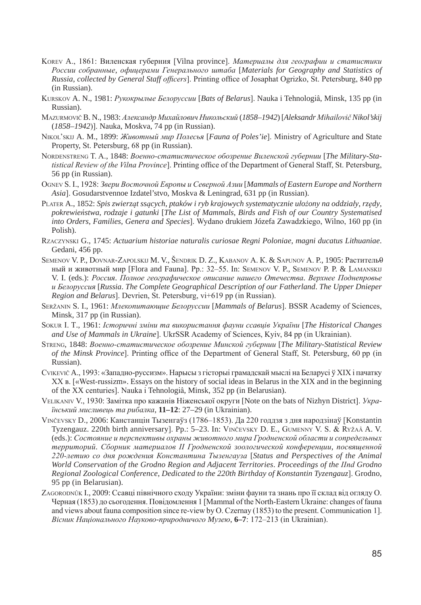- KoRev A., 1861: Виленская губерния [Vilna province]. *Материалы для географии и статистики России собранные*, *офицерами Генерального штаба* [*Materials for Geography and Statistics of Russia*, *collected by General Staff officers*]. Printing office of Josaphat Ogrizko, St. Petersburg, 840 pp (in Russian).
- KuRsKov A. N., 1981: *Рукокрылые Белоруссии* [*Bats of Belarus*]. Nauka i Tehnologiâ, Minsk, 135 pp (in Russian).
- Mazurmovič B. N., 1983: *Александр Михайлович Никольский* (*1858*–*1942*) [*Aleksandr Mihailovič Nikol'skij* (*1858*–*1942*)]. Nauka, Moskva, 74 pp (in Russian).
- niKol'sKiJ A. M., 1899: *Животный мир Полесья* [*Fauna of Poles'ie*]. Ministry of Agriculture and State Property, St. Petersburg, 68 pp (in Russian).
- noRdenstReng t. A., 1848: *Военно-статистическое обозрение Виленской губернии* [*The Military-Statistical Review of the Vilna Province*]. Printing office of the Department of General Staff, St. Petersburg, 56 pp (in Russian).
- ognev S. I., 1928: *Звери Восточной Европы и Северной Азии* [*Mammals of Eastern Europe and Northern Asia*]. Gosudarstvennoe Izdatel'stvo, Moskva & Leningrad, 631 pp (in Russian).
- PlAteR A., 1852: *Spis zwierząt ssących*, *ptaków i ryb krajowych systematycznie ułożony na oddziały*, *rzędy*, *pokrewieństwa*, *rodzaje i gatunki* [*The List of Mammals*, *Birds and Fish of our Country Systematised into Orders*, *Families*, *Genera and Species*]. Wydano drukiem Józefa Zawadzkiego, Wilno, 160 pp (in Polish).
- RzAczYnsKi G., 1745: *Actuarium historiae naturalis curiosae Regni Poloniae*, *magni ducatus Lithuaniae*. Gedani, 456 pp.
- Semenov V. P., Dovnar-Zapolskij M. V., Šendrik D. Z., Kabanov A. K. & Sapunov A. P., 1905: Раститель $\theta$ ный и животный мир [Flora and Fauna]. Pp.: 32-55. In: SEMENOV V. P., SEMENOV P. P. & LAMANSKIJ V. I. (eds.): *Россия*. *Полное географическое описание нашего Отечества*. *Верхнее Поднепровье и Белоруссия* [*Russia*. *The Complete Geographical Description of our Fatherland*. *The Upper Dnieper Region and Belarus*]. Devrien, St. Petersburg, vi+619 pp (in Russian).
- seržanin S. I., 1961: *Млекопитающие Белоруссии* [*Mammals of Belarus*]. BSSR Academy of Sciences, Minsk, 317 pp (in Russian).
- soKuR i. t., 1961: *Історичні зміни та використання фауни ссавців України* [*The Historical Changes and Use of Mammals in Ukraine*]. UkrSSR Academy of Sciences, Kyiv, 84 pp (in Ukrainian).
- stReng, 1848: *Военно-статистическое обозрение Минской губернии* [*The Military-Statistical Review of the Minsk Province*]. Printing office of the Department of General Staff, St. Petersburg, 60 pp (in Russian).
- cvіKevіč A., 1993: «Западно-руссизм». Нарысы з гiсторыi грамадскай мыслi на Беларусi ў XIX i пачатку XX в. [«West-russizm». Essays on the history of social ideas in Belarus in the XIX and in the beginning of the XX centuries]. Nauka i Tehnologiâ, Minsk, 352 pp (in Belarusian).
- veliKAniv V., 1930: Замітка про кажанів Ніженської округи [Note on the bats of Nizhyn District]. *Український мисливець та рибалка*, **11–12**: 27–29 (in Ukrainian).
- vinčevsky D., 2006: Канстанцін Тызенгаўз (1786–1853). Да 220 годдзя з дня народзінаў [Konstantin Tyzengauz. 220th birth anniversary]. Pp.: 5–23. In: VINČEVSKY D. E., GUMENNY V. S. & RYŽAÂ A. V. (eds.): *Состояние и перспективы охраны животного мира Гродненской области и сопредельных территорий*. *Сборник материалов II Гродненской зоологической конференции*, *посвященной 220-летию со дня рождения Константина Тызенгауза* [*Status and Perspectives of the Animal World Conservation of the Grodno Region and Adjacent Territories*. *Proceedings of the IInd Grodno Regional Zoological Conference*, *Dedicated to the 220th Birthday of Konstantin Tyzengauz*]. Grodno, 95 pp (in Belarusian).
- ZAGORODNÛK I., 2009: Ссавці північного сходу України: зміни фауни та знань про її склад від огляду О. Черная (1853) до сьогодення. Повідомлення 1 [Mammal of the North-Eastern Ukraine: changes of fauna and views about fauna composition since re-view by O. Czernay (1853) to the present. Communication 1]. *Вісник Національного Науково-природничого Mузею*, **6–7**: 172–213 (in Ukrainian).